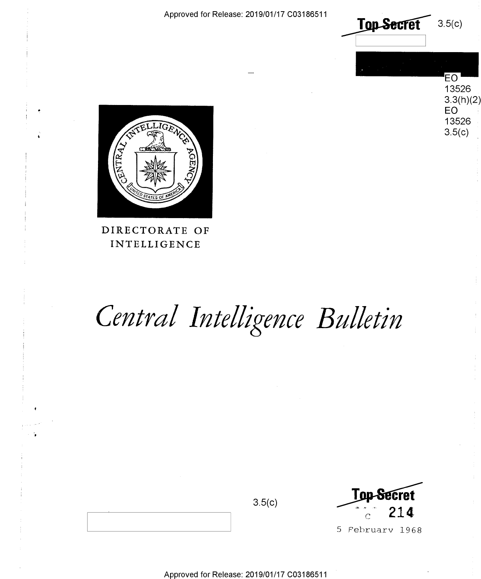Approved for Release: 2019/01/17 C03186511



**EO** 13526  $3.3(h)(2)$ EO 13526

 $3.5(c)$ 



DIRECTORATE OF INTELLIGENCE

# Central Intelligence Bulletin



5 February 1968

Approved for Release: 2019/01/17 C03186511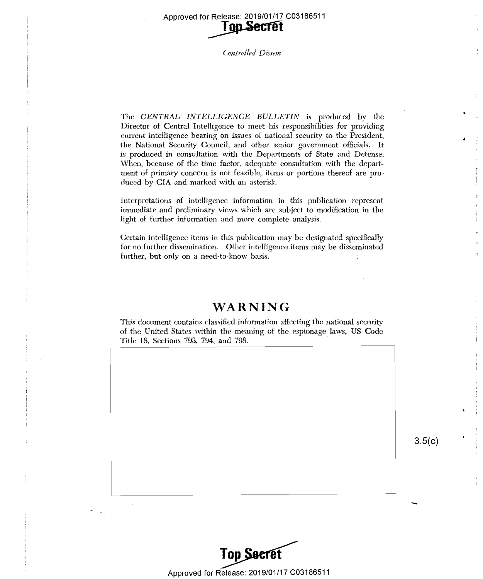Approved for Release: 2019/01/17 C03186511 Approved for Release: 2019/01/17 <sup>003186511</sup> Release: 2019/01/17 C03186511<br>
Top Secret<br>
Controlled Dissem **Ton-Secret** 

Controlled Dissem

The *CENTRAL INTELLIGENCE BULLETIN* is produced by the Director of Central Intelligence to meet his responsibilities for providing current intelligence bearing on issues of national security to the President, the National Security Council, and other senior government officials. It the National Security Council, and other senior govemment officials. It is produced in consultation with the Departments of State and Defense. When, because of the time factor, adequate consultation with the department of primary concern is not feasible, items or portions thereof are produced by CIA and marked with an asterisk.

Interpretations of intelligence information in this publication represent Interpretations of intelligence information in this publication represent immediate and preliminary views which are subject to modification in the light of further information and more complete analysis. light of further information and more complete analysis.

Certain intelligence items in this publication may be designated specifically for no further dissemination. Other intelligence items may be disseminated for no further dissemination. Other intelligence items may be disseminated further, but only on a need-to-know basis. further, but only on <sup>a</sup> need-to-know basis. '

### **WARNING**  WARNING

This document contains classified information affecting the national security of the United States within the meaning of the espionage laws, US Code Title 18, Sections 793, 794, and 798. Title 18, Sections 793, 794, and 798.

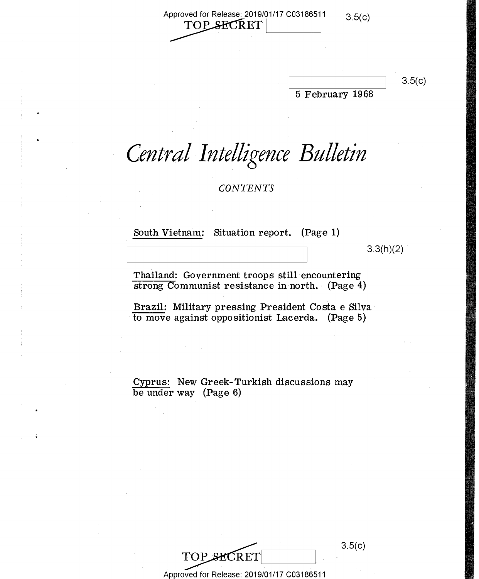Approved for Release: 2019/01/17 C03186511  $\frac{3.5(c)}{c}$  $~{\rm{proved}}$  for Release: 2019/01/17 C03186511<br> $~{\rm TOP}$  SECRET  $\vert$ Approved for Release: 2019/01/17 C03186511 3.5(c) wed for Release: 2019/01/17 C03186511  $3.5(c)$ <br>TOP\_SECRET  $|$ 

 $|3.5(c)|$ 

5 February 1968 <sup>5</sup> February 1968

## Central Intelligence Bulletin

*CONTENTS*  CONTENTS

South Vietnam: Situation report. (Page 1)

 $3.3(h)(2)$ 

Thailand: Government troops still encountering Thailand: Government troops still-encountering strong Communist resistance in north. (Page 4)

Brazil: Military pressing President Costa e Silva Brazil: Military- pressing President Costa <sup>e</sup> Silva to move against oppositionist Lacerda. (Page 5) to moVe against oppositionist Lacerda. (Page 5)

Cyprus: New Greek-Turkish discussions may Cyprus: New Greek—Turkish discussions may be under way (Page 6) be under way (Page 6)



Approved for Release: 2019/01/17 C03186511 Approved for Release: 2019/01/17 (303186511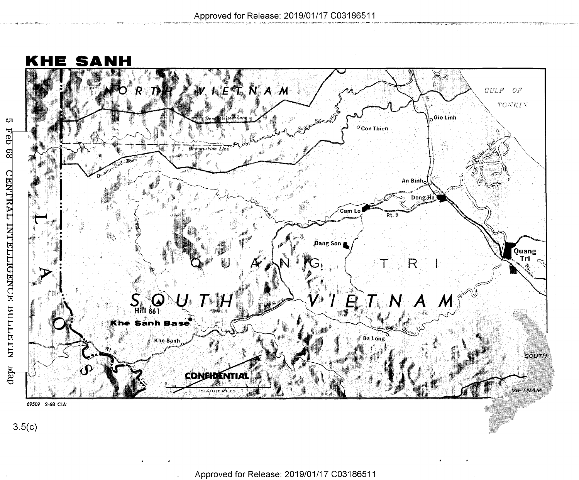

Cл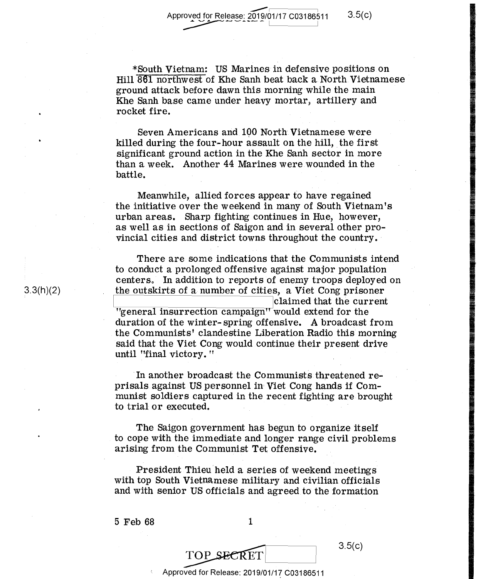Approved for Release: 2019/01/17 C03186511 3.5(c)  $\sim$   $\sim$   $\sim$   $\sim$   $\sim$   $\sim$ 

\*South Vietnam: US Marines in defensive positions on \*South Vietnam: US Marines in defensive positionson  $Hill$   $\overline{861}$  northwest of Khe Sanh beat back a North Vietnamese ground attack before dawn this morning while the main ground attack before dawn this morning-while the main Khe Sanh base came under heavy mortar, artillery and Khe Sanh base came under heavy mortar, artillery and rocket fire. The set of the set of  $\mathcal{L}$ 

Seven Americans and 190 North Vietnamese were Seven Americans and 100 North'Vietnamese were killed during the four-hour assault on the hill, the first  $\;$ significant ground action in the Khe Sanh sector in more significant ground action in the Khe Sanh sector in more than a week. Another 44 Marines were wounded in the battle.

Meanwhile, allied forces appear to have regained Meanwhile, allied forces appear to have regained the initiative over the weekend in many of South Vietnam's the initiative over-the weekend in many of South. Vietnam's urban areas. Sharp fighting continues in Hue, however, urban areas. Sharp fighting continues in Hue, however, as well as in sections of Saigon and in several other provincial cities and district towns throughout the country. vincial cities and district towns throughout the country. -

There are some indications that the Communists intend There are some indications that the Communists intend to conduct a prolonged offensive against major population to conduct <sup>a</sup> prolonged'offensive against major population ' centers. In addition to reports of enemy troops deployed on the outskirts of a number of cities, a Viet Cong prisoner the outskirts of a- number of cities. <sup>a</sup> Viet Cong prisoner **Claimed that the current**  $"general$  insurrection campaign $"$  would extend for the duration of the winter- spring offensive. A broadcast from duration of thewintera- spring offensive. A broadcast from the Communists' clandestine Liberation Radio this morning said that the Viet Cong would continue their present drive until "final victory." The state of the state of  $\mathbf{r}$  is the state of  $\mathbf{r}$ 

In another broadcast the Communists threatened reprisals against US personnel in Viet Cong hands if Com-prisalsagainst US personnel in Viet Cong hands if Communist soldiers captured in the recent fighting are brought munist soldiers captured in the recent fighting arebrought  $t$  to trial or executed.  $\blacksquare$ 

The Saigon government has begun to organize itself The Saigon government has begun to organize itself to cope with the immediate and longer range civil problems . to cope with the immediate and longer range civil problems arising from the Communist Tet offensive. arising from theCommunist Tet offensive.

President Thieu held a series of weekend meetings with top South Vietnamese military and civilian officials with top South Vietnamese military and civilianofficials and with senior US officials and agreed to the formation

5 Feb 68 1 5 Feb 68 1



had-12;;

3.3(h)(2) 3-3(h)(2)

Approved for Release: 2019/01/17 C03186511 Approved for Release: 2019/01/17 003186511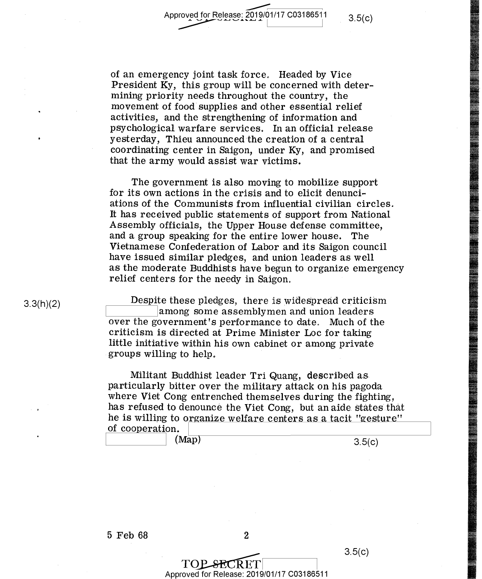3.5(c)

of an emergency joint task force. Headed by Vice of an emergency joint task force, Headed by Vice President Ky, this group will be concerned with deter-President Ky, this group will be concerned with deter mining priority needs throughout the country, the mining priority needs throughout the country, the movement of food supplies and other essential relief movement of food' supplies and other essential relief activities, and the strengthening of information and activities, and the strengthening of information and psychological warfare services. In an official release psychological warfare services. In an official release yesterday, Thieu announced the creation of a central yesterday, Thieu announced'the creation of <sup>a</sup> central coordinating center in Saigon, under Ky, and promised coordinating center in Saigon, under Ky, and promised that the army would assist war victims. that the army would assist war victims. '

The government is also moving to mobilize support The government is also moving to mobilize support for its own actions in the crisis and to elicit denunci-for its own actions in the crisis and to elicit denunci ations of the Communists from influential civilian circles. ations of the Communists from influential civilian circles. It has received public statements of support from National It has received public statements of support from National Assembly officials, the Upper House defense committee, Assembly officials, the Upper House defense committee, and a group speaking for the entire lower house. The and <sup>a</sup> group speaking for the entire lower house. The Vietnamese Confederation of Labor and its Saigon council Vietnamese Confederation of Labor and its Saigon council have issued similar pledges, and union leaders as well have issued similar pledges, and union leaders as well as the moderate Buddhists have begun to organize emergency as the moderate Buddhists have begun to organize emergency relief centers for the needy in Saigon.

Despite these pledges, there is widespread criticism Despite these pledges, there is widespread criticism **EXECUTE:**<br>among some assemblymen and union leaders<br>over the covenament's performance to date. Much of the over the government's performance to date. Much of the criticism is directed at Prime Minister Loe for taking criticism is directed at Prime Minister Loc for taking little initiative within his own cabinet or among private little initiative within his own cabinet or among private groups willing to help. groups willing to help, ' '

Militant Buddhist leader Tri Quang, described as Militant Buddhist leader Tri Quang, described as. particularly bitter over the military attack on his pagoda particularly bitter over the military attack on his pagoda where Viet Cong entrenched themselves during the fighting, where Viet Cong entrenched themselves during the fighting, has refused to denounce the Viet Cong, but an aide states that he is willing to organize welfare centers as a tacit "gesture"<br>of cooperation.<br>(Map)  $3.5(c)$ of cooperation.  $\vert$ 

 $(Map)$  3.5(c)

3.5(c)

5 Feb 68 2 5 Feb 68- 2

TOP\_SECRET<br>Approved for Release: 2019/01/17 C03186511  $TOP$  SECRET  $3.5(c)$ 

3.3(h)(2)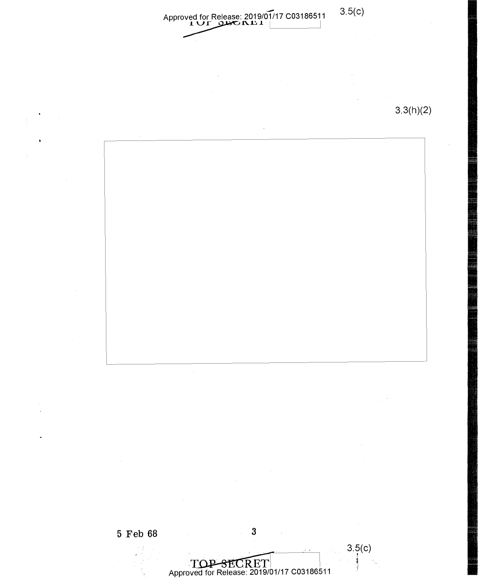Approved for Release: 2019/01/17 C03186511 Approved for Release: 2019/01/17 C03186511 3.5(C)<br> **1 U r mu .1 1**<br> **1** DEC NU I 3.5(c) 3.3(h)(2) 3.3(h)(2)

**5 Feb 68** 3

Approved for Release: 2019/01/17 C03186511

 $3.5(c)$ 1 ,;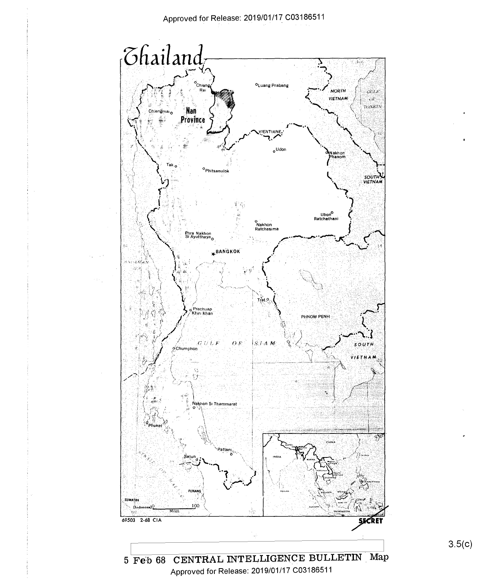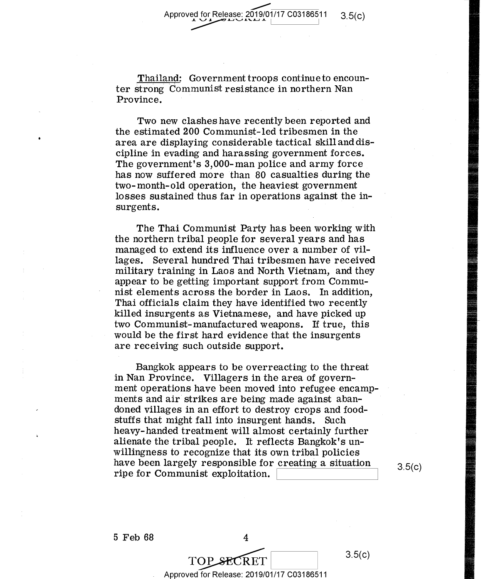Thailand: Government troops continue to encoun-Thailand: Government troops continueto encoun ter strong Communist resistance in northern Nan ter Strong Communist resistance in northern Nan Province. Province.

Two new clashes have recently been reported and Two new clashes have recently been reported and the estimated 200 Communist-led tribesmen in the the estimated 200 Communist-led tribesmen in the area are displaying considerable tactical skill and dis- area are displaying considerable tactical skill and dis cipline in evading and harassing government forces. cipline in evading and harassing government forces. The government's  $3,\!000\!$ -man police and army force has now suffered more than 80 casualties during the has now suffered more than 80 casualties during the two-month-old operation, the heaviest government two-month—old operation, the heaviest goVernment losses sustained thus far in operations against the in-losses sustained thus far in operations against the in—  $\boldsymbol{\epsilon}$  surgents.

The Thai Communist Party has been working with The Thai Communist Party has been working With the northern tribal people for several years and has the northern tribal people for several years and has managed to extend its influence over a number of vil-managed to extend its influence over <sup>a</sup> number of vil lages. Several hundred Thai tribesmen have received lages. Several hundred Thai tribesmen have received military training in Laos and North Vietnam, and they military training in Laos and North Vietnam, and they appear to be getting important support from Commu-appear to be getting important support from Communist elements across the border in Laos. In addition, nist elements across the border in Laos. In addition, Thai officials claim they have identified two recently Thai officials claim they have identified two recently killed insurgents as Vietnamese, and have picked up killed insurgents as Vietnamese, and have picked up two Communist-manufactured weapons. If true, this would be the first hard evidence that the insurgents would be the first hard evidence that the insurgents are receiving such outside support. are receiving such outside support.

Bangkok appears to be overreacting to the threat Bangkok appears to be overreacting to the threat in Nan Province. Villagers in the area of government operations have been moved into refugee encamp-ment operations have been moved into refugee-encamp— ments and air strikes are being made against aban-ments and air strikes are being made against aban— ' doned villages in an effort to destroy crops and food-doned villages in an effort to destroy crops and food stuffs that might fall into insurgent hands. Such heavy-handed treatment will almost certainly further heavy— handed treatment will almost certainly further alienate the tribal people. It reflects Bangkok's un-alienate the tribal people. It reflects Bangkok's un— willingness to recognize that its own tribal policies willingness to recognize that its own tribal policies have been largely responsible for creating a situation  $3.5(c)$ <br>ripe for Communist exploitation. ripe for Communist exploitation.

3.5(c)

5 Feb 68 4 5 Feb 68 4

Approved for Release: 2019/01/17 C03186511 Approved for Release: 2019/01/17 003186511

TOP SECRET 3.5(c)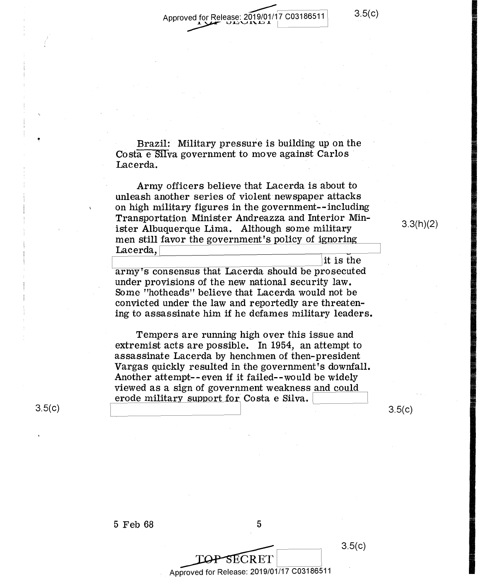Approved for Release: 201 for Release:  $2019/01/17$  C03186511 u.e. 2019/01/17 C03186511 Approved for Release: 2019/01/17 C03186511 \_\_\_\_\_\_\_\_\_\_\_\_\_  $\rightarrow$ 

3.5(c)

3.3(h)(2)

yra a

Inn"::::

 $-$ 

11:23.2:

Brazil: Military pressure is building up on the Costa e Silva government to move against Carlos  $\rm{Lacerda.}$ 

Army officers believe that Lacerda is about to Army officers believe that Lacerda is about to unleash another series of violent newspaper attacks unleash another series of violent-newspaper attacks on high military figures in the government--including on high military figures in the government--inc1uding Transportation Minister Andreazza and Interior Min-Transportation. Minister Andreazza and Interior Minister Albuquerque Lima. Although some military  $3.3(n)(2)$ men still favor the government's policy of ignoring Lacerda, Lacerda,l .\_, it is the jit is the

army's consensus that Lacerda should be prosecuted under provisions of the new national security law. under provisions of the new national security law. Some "hotheads" believe that Lacerda would not be SOme "hotheads" believe that Lacerda would not be convicted under the law and reportedly are threatening to assassinate him if he defames military leaders. ing to assassinate him if he defames military leaders.

Tempers are running high over this issue and Tempers are running highover this issue and extremist acts are possible. In 1954, an attempt to assassinate Lacerda by henchmen of then-president assassinate Lacerda by henchmen of then—president Vargas quickly resulted in the government's downfall. Vargas quickly resulted in the government's downfall. Another attempt-- even if it failed--would be widely Another attempt-—even if it failed-~would be widely viewed as a sign of government weakness and could viewed as <sup>a</sup> sign of government weakness and could erode military support for Costa e Silva.  $\frac{1}{\sqrt{1-\frac{1}{2}}\sqrt{1-\frac{1}{2}}\sqrt{1-\frac{1}{2}}\sqrt{1-\frac{1}{2}}}}$ erode military support for Costa <sup>e</sup> Silva. E l

 $5$ <br> $\overline{\text{LOP-SECRET}}$ <br> $\overline{\text{proved for Release: } 2019/01/17}$   $\overline{\text{C}03186511}}$   $3.5(c)$ 

 $3.5(c)$ 

 $3.5(c)$ 

Approved for Release: 2019/01/17 C03186511 \_ Approved for Release: 2019/01/17 <sup>003186511</sup>

PSECRET

3.5(c)

'

5 Feb 68 5 5 Feb 68 5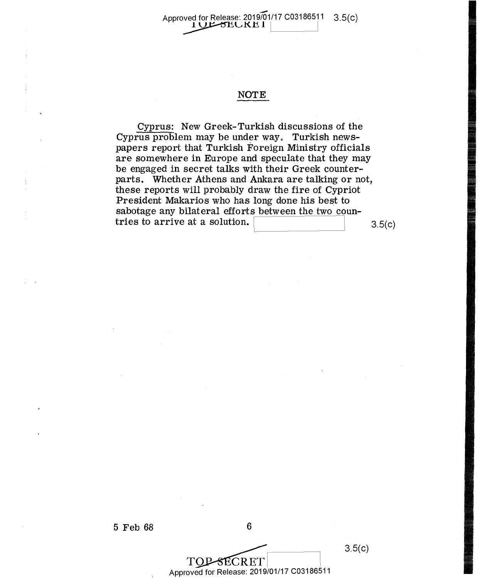### Approved for Release: 2019/01/17 C03186511 3.5(c)  $\frac{10}{200}$  SECRET  $\frac{1}{200}$

### **NOTE**  NOTE  $\blacksquare$

Cyprus: New Greek-Turkish discussions of the Cyprus: New Greek-Turkish discussions of the Cyprus problem may be under way. Turkish news-Cyprus problem. may be under way. Turkish newspapers report that Turkish Foreign Ministry officials papers report that Turkish Foreign Ministry officials are somewhere in Europe and speculate that they may are somewhere in Europe and speculate that they may be engaged in secret talks with their Greek counterparts. Whether Athens and Ankara are talking or not, these reports will probably draw the fire of Cypriot these reports will probably draw the fire of Cypriot President Makarios who has long done his best to President Makarios who has long done his best to sabotage any bilateral efforts between the two coun-<br>tries to arrive at a solution.<br>3.5(c) tries to arrive at a solution.  $\begin{bmatrix} 3.5(c) \end{bmatrix}$ 

5 Feb 68 6 5 Feb 68 6